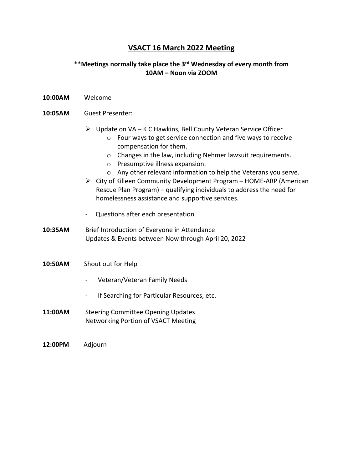## **VSACT 16 March 2022 Meeting**

## \*\***Meetings normally take place the 3rd Wednesday of every month from 10AM – Noon via ZOOM**

**10:00AM** Welcome

## **10:05AM** Guest Presenter:

- ➢ Update on VA K C Hawkins, Bell County Veteran Service Officer
	- o Four ways to get service connection and five ways to receive compensation for them.
	- o Changes in the law, including Nehmer lawsuit requirements.
	- o Presumptive illness expansion.
	- o Any other relevant information to help the Veterans you serve.
- ➢ City of Killeen Community Development Program HOME-ARP (American Rescue Plan Program) – qualifying individuals to address the need for homelessness assistance and supportive services.
- Questions after each presentation
- 10:35AM Brief Introduction of Everyone in Attendance Updates & Events between Now through April 20, 2022
- **10:50AM** Shout out for Help
	- Veteran/Veteran Family Needs
	- If Searching for Particular Resources, etc.
- **11:00AM** Steering Committee Opening Updates Networking Portion of VSACT Meeting

**12:00PM** Adjourn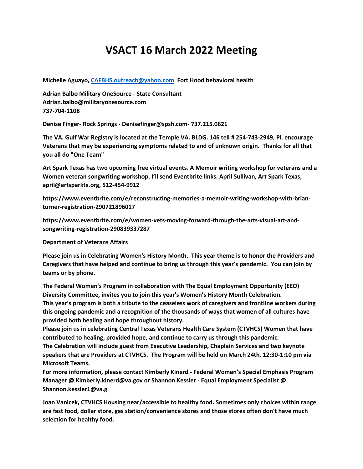## **VSACT 16 March 2022 Meeting**

**Michelle Aguayo[, CAFBHS.outreach@yahoo.com](mailto:CAFBHS.outreach@yahoo.com) Fort Hood behavioral health**

**Adrian Balbo Military OneSource - State Consultant Adrian.balbo@militaryonesource.com 737-704-1108**

**Denise Finger- Rock Springs - Denisefinger@spsh.com- 737.215.0621**

**The VA. Gulf War Registry is located at the Temple VA. BLDG. 146 tell # 254-743-2949, Pl. encourage Veterans that may be experiencing symptoms related to and of unknown origin. Thanks for all that you all do "One Team"**

**Art Spark Texas has two upcoming free virtual events. A Memoir writing workshop for veterans and a Women veteran songwriting workshop. I'll send Eventbrite links. April Sullivan, Art Spark Texas, april@artsparktx.org, 512-454-9912**

**https://www.eventbrite.com/e/reconstructing-memories-a-memoir-writing-workshop-with-brianturner-registration-290721896017**

**https://www.eventbrite.com/e/women-vets-moving-forward-through-the-arts-visual-art-andsongwriting-registration-290839337287**

**Department of Veterans Affairs**

**Please join us in Celebrating Women's History Month. This year theme is to honor the Providers and Caregivers that have helped and continue to bring us through this year's pandemic. You can join by teams or by phone.**

**The Federal Women's Program in collaboration with The Equal Employment Opportunity (EEO) Diversity Committee, invites you to join this year's Women's History Month Celebration. This year's program is both a tribute to the ceaseless work of caregivers and frontline workers during this ongoing pandemic and a recognition of the thousands of ways that women of all cultures have provided both healing and hope throughout history.**

**Please join us in celebrating Central Texas Veterans Health Care System (CTVHCS) Women that have contributed to healing, provided hope, and continue to carry us through this pandemic.**

**The Celebration will include guest from Executive Leadership, Chaplain Services and two keynote speakers that are Providers at CTVHCS. The Program will be held on March 24th, 12:30-1:10 pm via Microsoft Teams.**

**For more information, please contact Kimberly Kinerd - Federal Women's Special Emphasis Program Manager @ Kimberly.kinerd@va.gov or Shannon Kessler - Equal Employment Specialist @ Shannon.kessler1@va.g**

**Joan Vanicek, CTVHCS Housing near/accessible to healthy food. Sometimes only choices within range are fast food, dollar store, gas station/convenience stores and those stores often don't have much selection for healthy food.**